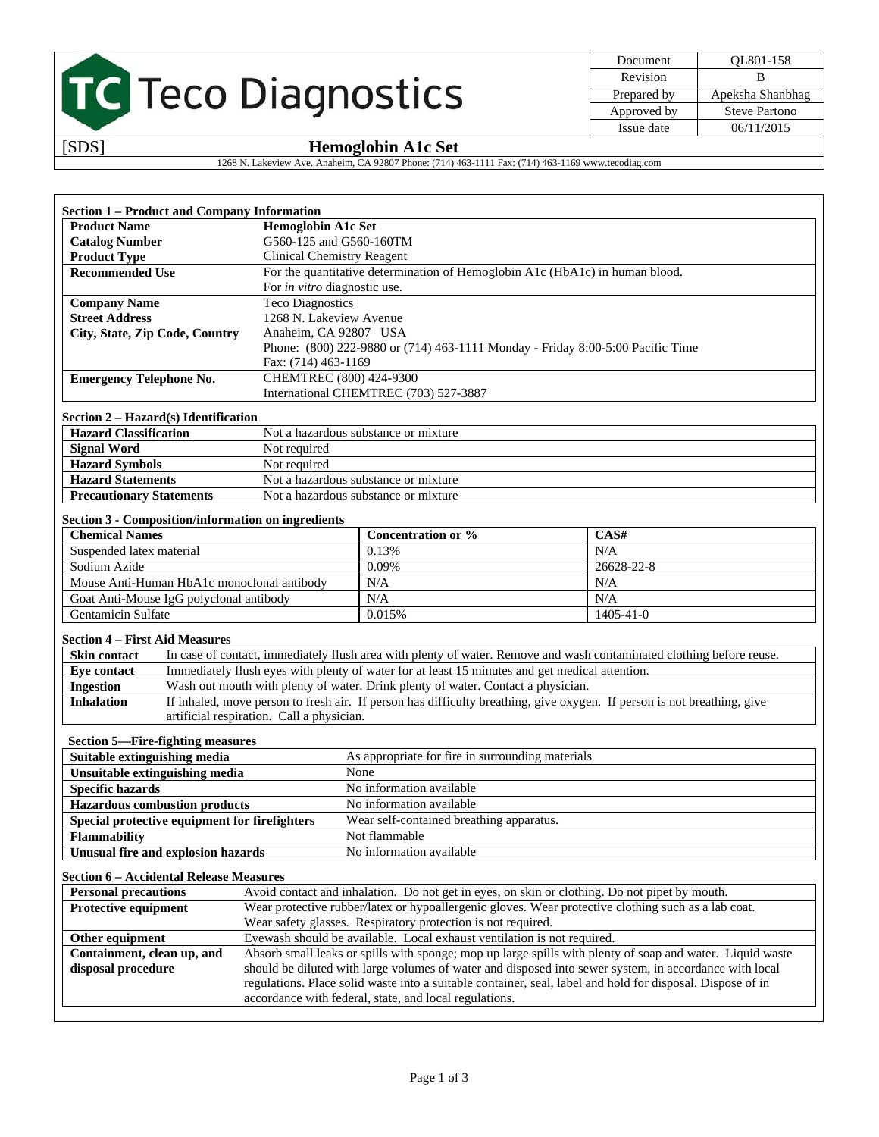# TC Teco Diagnostics

| Document    | OL801-158            |
|-------------|----------------------|
| Revision    |                      |
| Prepared by | Apeksha Shanbhag     |
| Approved by | <b>Steve Partono</b> |
| Issue date  | 06/11/2015           |

### [SDS] **Hemoglobin A1c Set**

1268 N. Lakeview Ave. Anaheim, CA 92807 Phone: (714) 463-1111 Fax: (714) 463-1169 www.tecodiag.com

| <b>Section 1 – Product and Company Information</b> |                                                                                |  |
|----------------------------------------------------|--------------------------------------------------------------------------------|--|
| <b>Product Name</b>                                | <b>Hemoglobin A1c Set</b>                                                      |  |
| <b>Catalog Number</b>                              | G560-125 and G560-160TM                                                        |  |
| <b>Product Type</b>                                | <b>Clinical Chemistry Reagent</b>                                              |  |
| <b>Recommended Use</b>                             | For the quantitative determination of Hemoglobin A1c (HbA1c) in human blood.   |  |
|                                                    | For in vitro diagnostic use.                                                   |  |
| <b>Company Name</b>                                | <b>Teco Diagnostics</b>                                                        |  |
| <b>Street Address</b>                              | 1268 N. Lakeview Avenue                                                        |  |
| City, State, Zip Code, Country                     | Anaheim, CA 92807 USA                                                          |  |
|                                                    | Phone: (800) 222-9880 or (714) 463-1111 Monday - Friday 8:00-5:00 Pacific Time |  |
|                                                    | Fax: (714) 463-1169                                                            |  |
| <b>Emergency Telephone No.</b>                     | CHEMTREC (800) 424-9300                                                        |  |
|                                                    | International CHEMTREC (703) 527-3887                                          |  |

### **Section 2 – Hazard(s) Identification**

| <b>Hazard Classification</b>    | Not a hazardous substance or mixture |  |
|---------------------------------|--------------------------------------|--|
| <b>Signal Word</b>              | Not required                         |  |
| <b>Hazard Symbols</b>           | Not required                         |  |
| <b>Hazard Statements</b>        | Not a hazardous substance or mixture |  |
| <b>Precautionary Statements</b> | Not a hazardous substance or mixture |  |

### **Section 3 - Composition/information on ingredients**

| <b>Chemical Names</b>                      | Concentration or % | CAS#            |
|--------------------------------------------|--------------------|-----------------|
| Suspended latex material                   | 0.13%              | N/A             |
| Sodium Azide                               | 0.09%              | 26628-22-8      |
| Mouse Anti-Human HbA1c monoclonal antibody | N/A                | N/A             |
| Goat Anti-Mouse IgG polyclonal antibody    | N/A                | N/A             |
| Gentamicin Sulfate                         | 0.015%             | $1405 - 41 - 0$ |

#### **Section 4 – First Aid Measures**

| <b>Skin contact</b> | In case of contact, immediately flush area with plenty of water. Remove and wash contaminated clothing before reuse.    |
|---------------------|-------------------------------------------------------------------------------------------------------------------------|
| Eve contact         | Immediately flush eyes with plenty of water for at least 15 minutes and get medical attention.                          |
| <b>Ingestion</b>    | Wash out mouth with plenty of water. Drink plenty of water. Contact a physician.                                        |
| <b>Inhalation</b>   | If inhaled, move person to fresh air. If person has difficulty breathing, give oxygen. If person is not breathing, give |
|                     | artificial respiration. Call a physician.                                                                               |

### **Section 5—Fire-fighting measures**

| Suitable extinguishing media                  | As appropriate for fire in surrounding materials |
|-----------------------------------------------|--------------------------------------------------|
| Unsuitable extinguishing media                | None                                             |
| <b>Specific hazards</b>                       | No information available                         |
| <b>Hazardous combustion products</b>          | No information available                         |
| Special protective equipment for firefighters | Wear self-contained breathing apparatus.         |
| <b>Flammability</b>                           | Not flammable                                    |
| Unusual fire and explosion hazards            | No information available                         |

### **Section 6 – Accidental Release Measures**

| <b>Personal precautions</b> | Avoid contact and inhalation. Do not get in eyes, on skin or clothing. Do not pipet by mouth.              |  |
|-----------------------------|------------------------------------------------------------------------------------------------------------|--|
| <b>Protective equipment</b> | Wear protective rubber/latex or hypoallergenic gloves. Wear protective clothing such as a lab coat.        |  |
|                             | Wear safety glasses. Respiratory protection is not required.                                               |  |
| Other equipment             | Eyewash should be available. Local exhaust ventilation is not required.                                    |  |
| Containment, clean up, and  | Absorb small leaks or spills with sponge; mop up large spills with plenty of soap and water. Liquid waste  |  |
| disposal procedure          | should be diluted with large volumes of water and disposed into sewer system, in accordance with local     |  |
|                             | regulations. Place solid waste into a suitable container, seal, label and hold for disposal. Dispose of in |  |
|                             | accordance with federal, state, and local regulations.                                                     |  |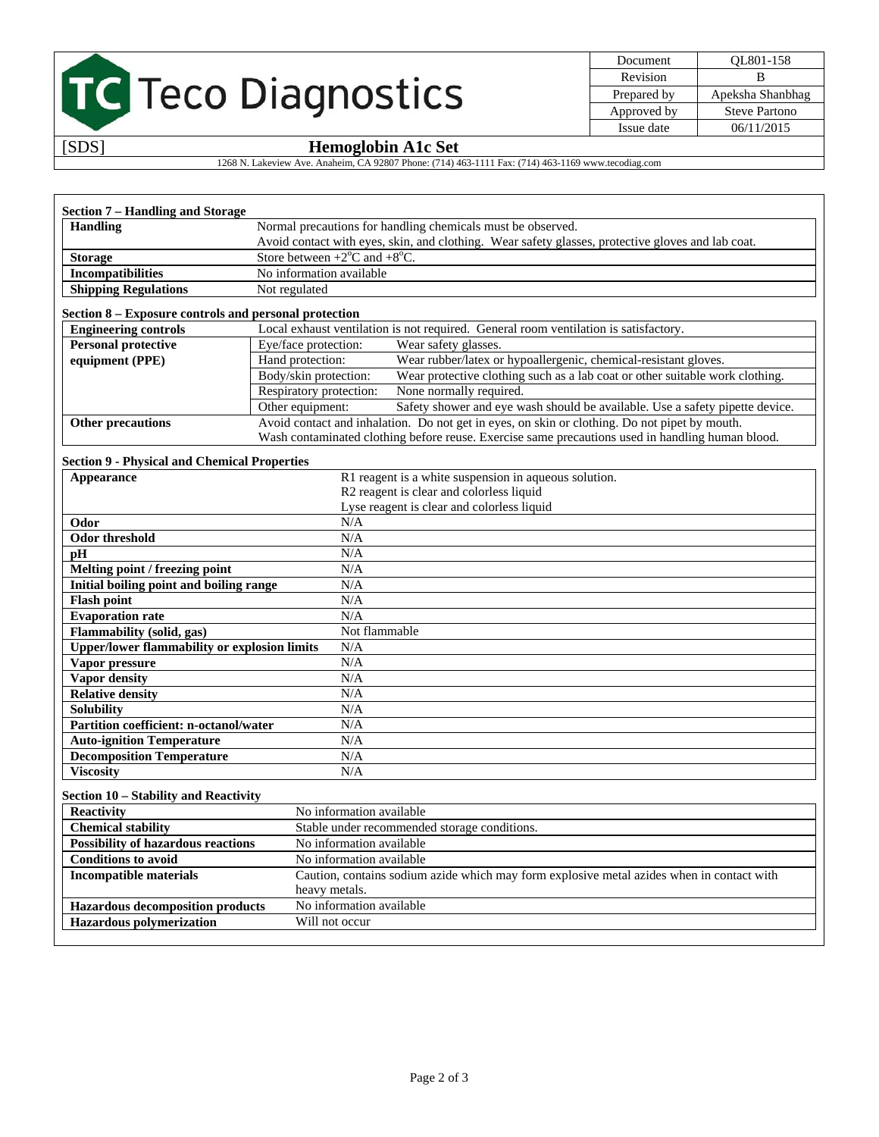# TC Teco Diagnostics

| Document    | QL801-158            |
|-------------|----------------------|
| Revision    | в                    |
| Prepared by | Apeksha Shanbhag     |
| Approved by | <b>Steve Partono</b> |
| Issue date  | 06/11/2015           |

## [SDS] **Hemoglobin A1c Set**

1268 N. Lakeview Ave. Anaheim, CA 92807 Phone: (714) 463-1111 Fax: (714) 463-1169 www.tecodiag.com

| Section 7 – Handling and Storage |                                                                                                   |  |
|----------------------------------|---------------------------------------------------------------------------------------------------|--|
| <b>Handling</b>                  | Normal precautions for handling chemicals must be observed.                                       |  |
|                                  | Avoid contact with eyes, skin, and clothing. Wear safety glasses, protective gloves and lab coat. |  |
| <b>Storage</b>                   | Store between $+2$ <sup>o</sup> C and $+8$ <sup>o</sup> C.                                        |  |
| <b>Incompatibilities</b>         | No information available                                                                          |  |
| <b>Shipping Regulations</b>      | Not regulated                                                                                     |  |

#### **Section 8 – Exposure controls and personal protection**

| <b>Engineering controls</b> | Local exhaust ventilation is not required. General room ventilation is satisfactory.             |                                                                              |
|-----------------------------|--------------------------------------------------------------------------------------------------|------------------------------------------------------------------------------|
| <b>Personal protective</b>  | Eye/face protection:<br>Wear safety glasses.                                                     |                                                                              |
| equipment (PPE)             | Wear rubber/latex or hypoallergenic, chemical-resistant gloves.<br>Hand protection:              |                                                                              |
|                             | Body/skin protection:                                                                            | Wear protective clothing such as a lab coat or other suitable work clothing. |
|                             | Respiratory protection:                                                                          | None normally required.                                                      |
|                             | Other equipment:                                                                                 | Safety shower and eye wash should be available. Use a safety pipette device. |
| Other precautions           | Avoid contact and inhalation. Do not get in eyes, on skin or clothing. Do not pipet by mouth.    |                                                                              |
|                             | Wash contaminated clothing before reuse. Exercise same precautions used in handling human blood. |                                                                              |

### **Section 9 - Physical and Chemical Properties**

| Appearance                                          | R1 reagent is a white suspension in aqueous solution.                                     |
|-----------------------------------------------------|-------------------------------------------------------------------------------------------|
|                                                     | R2 reagent is clear and colorless liquid                                                  |
|                                                     | Lyse reagent is clear and colorless liquid                                                |
| Odor                                                | N/A                                                                                       |
| <b>Odor threshold</b>                               | N/A                                                                                       |
| pH                                                  | N/A                                                                                       |
| Melting point / freezing point                      | N/A                                                                                       |
| Initial boiling point and boiling range             | N/A                                                                                       |
| <b>Flash point</b>                                  | N/A                                                                                       |
| <b>Evaporation rate</b>                             | N/A                                                                                       |
| Flammability (solid, gas)                           | Not flammable                                                                             |
| <b>Upper/lower flammability or explosion limits</b> | N/A                                                                                       |
| Vapor pressure                                      | N/A                                                                                       |
| Vapor density                                       | N/A                                                                                       |
| <b>Relative density</b>                             | N/A                                                                                       |
| <b>Solubility</b>                                   | N/A                                                                                       |
| Partition coefficient: n-octanol/water              | N/A                                                                                       |
| <b>Auto-ignition Temperature</b>                    | N/A                                                                                       |
| <b>Decomposition Temperature</b>                    | N/A                                                                                       |
| <b>Viscosity</b>                                    | N/A                                                                                       |
| Section 10 - Stability and Reactivity               |                                                                                           |
| Reactivity                                          | No information available                                                                  |
| <b>Chemical stability</b>                           | Stable under recommended storage conditions.                                              |
| <b>Possibility of hazardous reactions</b>           | No information available                                                                  |
| <b>Conditions to avoid</b>                          | No information available                                                                  |
| <b>Incompatible materials</b>                       | Caution, contains sodium azide which may form explosive metal azides when in contact with |
|                                                     | heavy metals.                                                                             |
| <b>Hazardous decomposition products</b>             | No information available                                                                  |
| <b>Hazardous</b> polymerization                     | Will not occur                                                                            |